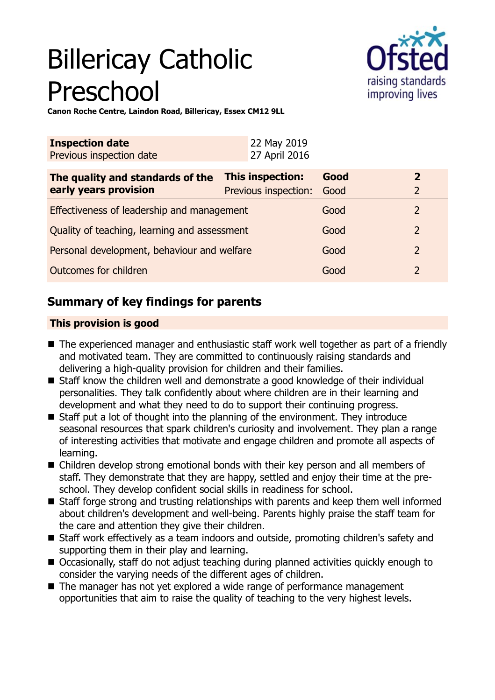# Billericay Catholic Preschool



**Canon Roche Centre, Laindon Road, Billericay, Essex CM12 9LL**

| <b>Inspection date</b><br>Previous inspection date | 22 May 2019<br>27 April 2016 |      |                |
|----------------------------------------------------|------------------------------|------|----------------|
| The quality and standards of the                   | This inspection:             | Good | $\mathbf{2}$   |
| early years provision                              | Previous inspection:         | Good | $\overline{2}$ |
| Effectiveness of leadership and management         |                              | Good | 2              |
| Quality of teaching, learning and assessment       |                              | Good | $\overline{2}$ |
| Personal development, behaviour and welfare        |                              | Good | $\overline{2}$ |
| Outcomes for children                              |                              | Good | $\mathcal{P}$  |

## **Summary of key findings for parents**

## **This provision is good**

- $\blacksquare$  The experienced manager and enthusiastic staff work well together as part of a friendly and motivated team. They are committed to continuously raising standards and delivering a high-quality provision for children and their families.
- Staff know the children well and demonstrate a good knowledge of their individual personalities. They talk confidently about where children are in their learning and development and what they need to do to support their continuing progress.
- $\blacksquare$  Staff put a lot of thought into the planning of the environment. They introduce seasonal resources that spark children's curiosity and involvement. They plan a range of interesting activities that motivate and engage children and promote all aspects of learning.
- $\blacksquare$  Children develop strong emotional bonds with their key person and all members of staff. They demonstrate that they are happy, settled and enjoy their time at the preschool. They develop confident social skills in readiness for school.
- $\blacksquare$  Staff forge strong and trusting relationships with parents and keep them well informed about children's development and well-being. Parents highly praise the staff team for the care and attention they give their children.
- Staff work effectively as a team indoors and outside, promoting children's safety and supporting them in their play and learning.
- Occasionally, staff do not adjust teaching during planned activities quickly enough to consider the varying needs of the different ages of children.
- $\blacksquare$  The manager has not yet explored a wide range of performance management opportunities that aim to raise the quality of teaching to the very highest levels.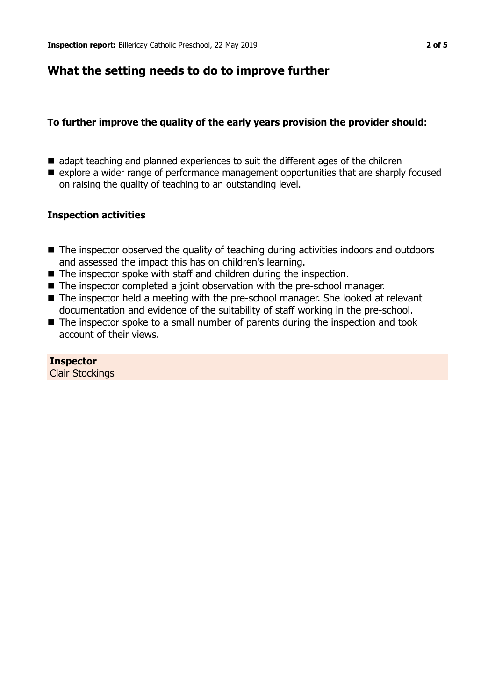## **What the setting needs to do to improve further**

## **To further improve the quality of the early years provision the provider should:**

- $\blacksquare$  adapt teaching and planned experiences to suit the different ages of the children
- explore a wider range of performance management opportunities that are sharply focused on raising the quality of teaching to an outstanding level.

## **Inspection activities**

- $\blacksquare$  The inspector observed the quality of teaching during activities indoors and outdoors and assessed the impact this has on children's learning.
- $\blacksquare$  The inspector spoke with staff and children during the inspection.
- The inspector completed a joint observation with the pre-school manager.
- The inspector held a meeting with the pre-school manager. She looked at relevant documentation and evidence of the suitability of staff working in the pre-school.
- $\blacksquare$  The inspector spoke to a small number of parents during the inspection and took account of their views.

### **Inspector**

Clair Stockings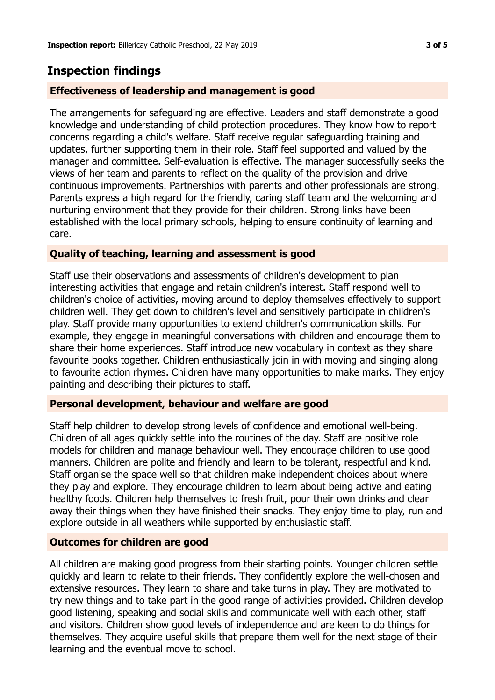## **Inspection findings**

### **Effectiveness of leadership and management is good**

The arrangements for safeguarding are effective. Leaders and staff demonstrate a good knowledge and understanding of child protection procedures. They know how to report concerns regarding a child's welfare. Staff receive regular safeguarding training and updates, further supporting them in their role. Staff feel supported and valued by the manager and committee. Self-evaluation is effective. The manager successfully seeks the views of her team and parents to reflect on the quality of the provision and drive continuous improvements. Partnerships with parents and other professionals are strong. Parents express a high regard for the friendly, caring staff team and the welcoming and nurturing environment that they provide for their children. Strong links have been established with the local primary schools, helping to ensure continuity of learning and care.

### **Quality of teaching, learning and assessment is good**

Staff use their observations and assessments of children's development to plan interesting activities that engage and retain children's interest. Staff respond well to children's choice of activities, moving around to deploy themselves effectively to support children well. They get down to children's level and sensitively participate in children's play. Staff provide many opportunities to extend children's communication skills. For example, they engage in meaningful conversations with children and encourage them to share their home experiences. Staff introduce new vocabulary in context as they share favourite books together. Children enthusiastically join in with moving and singing along to favourite action rhymes. Children have many opportunities to make marks. They enjoy painting and describing their pictures to staff.

### **Personal development, behaviour and welfare are good**

Staff help children to develop strong levels of confidence and emotional well-being. Children of all ages quickly settle into the routines of the day. Staff are positive role models for children and manage behaviour well. They encourage children to use good manners. Children are polite and friendly and learn to be tolerant, respectful and kind. Staff organise the space well so that children make independent choices about where they play and explore. They encourage children to learn about being active and eating healthy foods. Children help themselves to fresh fruit, pour their own drinks and clear away their things when they have finished their snacks. They enjoy time to play, run and explore outside in all weathers while supported by enthusiastic staff.

### **Outcomes for children are good**

All children are making good progress from their starting points. Younger children settle quickly and learn to relate to their friends. They confidently explore the well-chosen and extensive resources. They learn to share and take turns in play. They are motivated to try new things and to take part in the good range of activities provided. Children develop good listening, speaking and social skills and communicate well with each other, staff and visitors. Children show good levels of independence and are keen to do things for themselves. They acquire useful skills that prepare them well for the next stage of their learning and the eventual move to school.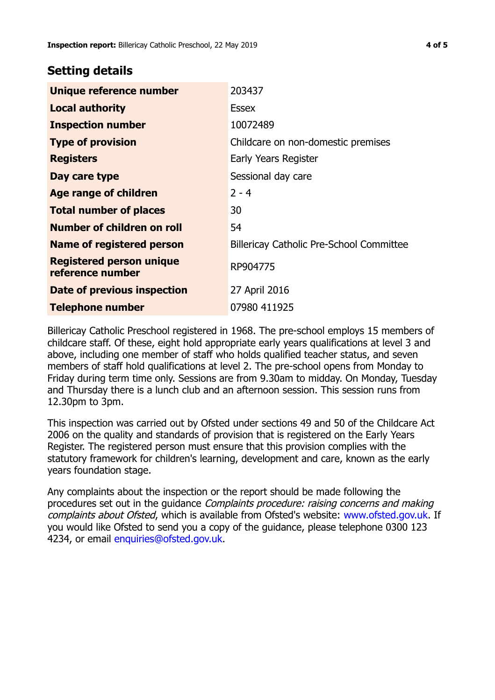## **Setting details**

| Unique reference number                             | 203437                                          |
|-----------------------------------------------------|-------------------------------------------------|
| <b>Local authority</b>                              | <b>Essex</b>                                    |
| <b>Inspection number</b>                            | 10072489                                        |
| <b>Type of provision</b>                            | Childcare on non-domestic premises              |
| <b>Registers</b>                                    | Early Years Register                            |
| Day care type                                       | Sessional day care                              |
| Age range of children                               | $2 - 4$                                         |
| <b>Total number of places</b>                       | 30                                              |
| Number of children on roll                          | 54                                              |
| Name of registered person                           | <b>Billericay Catholic Pre-School Committee</b> |
| <b>Registered person unique</b><br>reference number | RP904775                                        |
| Date of previous inspection                         | 27 April 2016                                   |
| <b>Telephone number</b>                             | 07980 411925                                    |

Billericay Catholic Preschool registered in 1968. The pre-school employs 15 members of childcare staff. Of these, eight hold appropriate early years qualifications at level 3 and above, including one member of staff who holds qualified teacher status, and seven members of staff hold qualifications at level 2. The pre-school opens from Monday to Friday during term time only. Sessions are from 9.30am to midday. On Monday, Tuesday and Thursday there is a lunch club and an afternoon session. This session runs from 12.30pm to 3pm.

This inspection was carried out by Ofsted under sections 49 and 50 of the Childcare Act 2006 on the quality and standards of provision that is registered on the Early Years Register. The registered person must ensure that this provision complies with the statutory framework for children's learning, development and care, known as the early years foundation stage.

Any complaints about the inspection or the report should be made following the procedures set out in the guidance Complaints procedure: raising concerns and making complaints about Ofsted, which is available from Ofsted's website: www.ofsted.gov.uk. If you would like Ofsted to send you a copy of the guidance, please telephone 0300 123 4234, or email [enquiries@ofsted.gov.uk.](mailto:enquiries@ofsted.gov.uk)